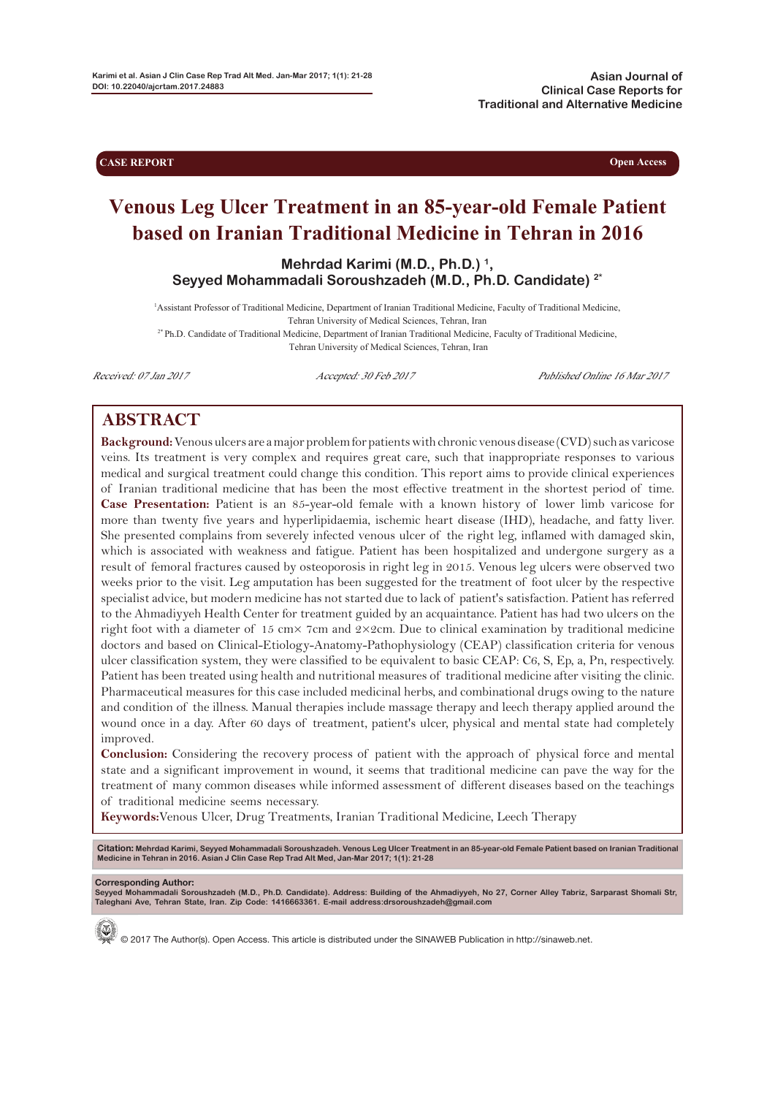**CASE REPORT Open Access** 

# **Venous Leg Ulcer Treatment in an 85-year-old Female Patient based on Iranian Traditional Medicine in Tehran in 2016**

**Mehrdad Karimi (M.D., Ph.D.) 1, Seyyed Mohammadali Soroushzadeh (M.D., Ph.D. Candidate) 2\***

1 Assistant Professor of Traditional Medicine, Department of Iranian Traditional Medicine, Faculty of Traditional Medicine, Tehran University of Medical Sciences, Tehran, Iran

2\* Ph.D. Candidate of Traditional Medicine, Department of Iranian Traditional Medicine, Faculty of Traditional Medicine, Tehran University of Medical Sciences, Tehran, Iran

Received: 07 Jan 2017 **Accepted: 30 Feb 2017** Published Online 16 Mar 2017

# **ABSTRACT**

**Background:**Venous ulcers are a major problem for patients with chronic venous disease (CVD) such as varicose veins. Its treatment is very complex and requires great care, such that inappropriate responses to various medical and surgical treatment could change this condition. This report aims to provide clinical experiences of Iranian traditional medicine that has been the most effective treatment in the shortest period of time. **Case Presentation:** Patient is an 85-year-old female with a known history of lower limb varicose for more than twenty five years and hyperlipidaemia, ischemic heart disease (IHD), headache, and fatty liver. She presented complains from severely infected venous ulcer of the right leg, inflamed with damaged skin, which is associated with weakness and fatigue. Patient has been hospitalized and undergone surgery as a result of femoral fractures caused by osteoporosis in right leg in 2015. Venous leg ulcers were observed two weeks prior to the visit. Leg amputation has been suggested for the treatment of foot ulcer by the respective specialist advice, but modern medicine has not started due to lack of patient's satisfaction. Patient has referred to the Ahmadiyyeh Health Center for treatment guided by an acquaintance. Patient has had two ulcers on the right foot with a diameter of 15 cm× 7cm and 2×2cm. Due to clinical examination by traditional medicine doctors and based on Clinical-Etiology-Anatomy-Pathophysiology (CEAP) classification criteria for venous ulcer classification system, they were classified to be equivalent to basic CEAP: C6, S, Ep, a, Pn, respectively. Patient has been treated using health and nutritional measures of traditional medicine after visiting the clinic. Pharmaceutical measures for this case included medicinal herbs, and combinational drugs owing to the nature and condition of the illness. Manual therapies include massage therapy and leech therapy applied around the wound once in a day. After 60 days of treatment, patient's ulcer, physical and mental state had completely improved.

**Conclusion:** Considering the recovery process of patient with the approach of physical force and mental state and a significant improvement in wound, it seems that traditional medicine can pave the way for the treatment of many common diseases while informed assessment of different diseases based on the teachings of traditional medicine seems necessary.

**Keywords:**Venous Ulcer, Drug Treatments, Iranian Traditional Medicine, Leech Therapy

Citation: Mehrdad Karimi, Seyyed Mohammadali Soroushzadeh. Venous Leg Ulcer Treatment in an 85-year-old Female Patient based on Iranian Traditional<br>Medicine in Tehran in 2016. Asian J Clin Case Rep Trad Alt Med, Jan-Mar 20

#### **Corresponding Author:**

**Seyyed Mohammadali Soroushzadeh (M.D., Ph.D. Candidate). Address: Building of the Ahmadiyyeh, No 27, Corner Alley Tabriz, Sarparast Shomali Str, Taleghani Ave, Tehran State, Iran. Zip Code: 1416663361. E-mail address:drsoroushzadeh@gmail.com**



© 2017 The Author(s). Open Access. This article is distributed under the SINAWEB Publication in http://sinaweb.net.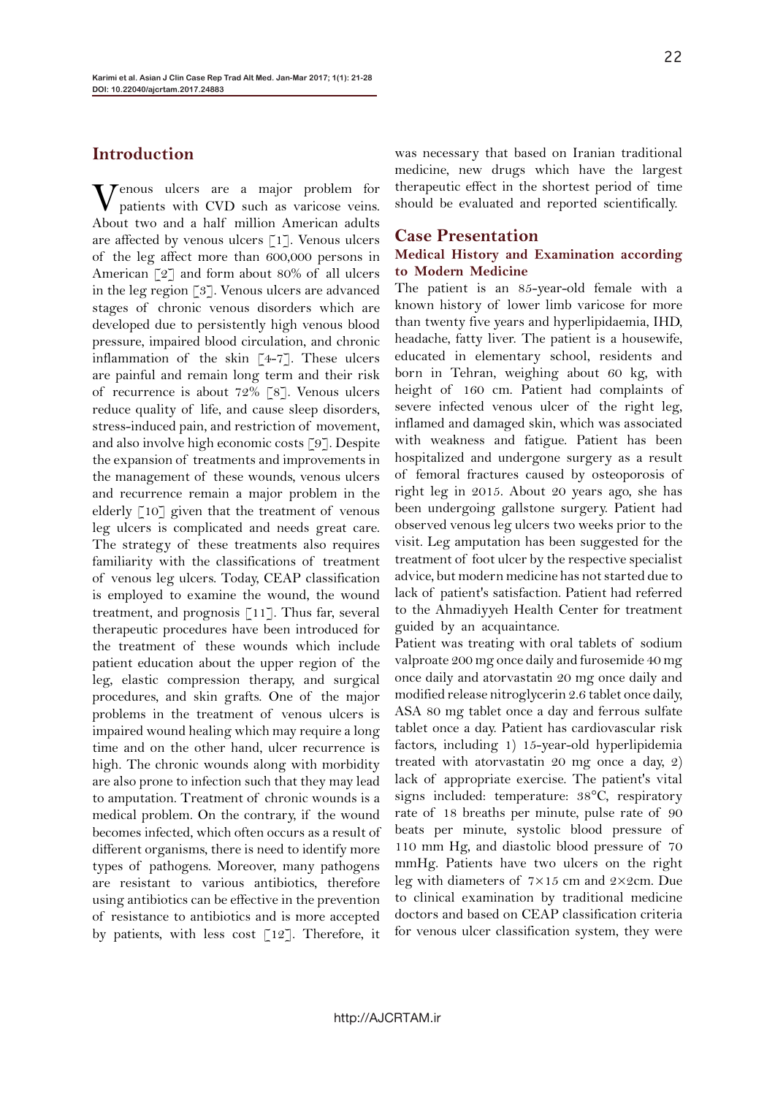# **Introduction**

Venous ulcers are a major problem for patients with CVD such as varicose veins. About two and a half million American adults are affected by venous ulcers [1]. Venous ulcers of the leg affect more than 600,000 persons in American [2] and form about 80% of all ulcers in the leg region [3]. Venous ulcers are advanced stages of chronic venous disorders which are developed due to persistently high venous blood pressure, impaired blood circulation, and chronic inflammation of the skin [4-7]. These ulcers are painful and remain long term and their risk of recurrence is about 72% [8]. Venous ulcers reduce quality of life, and cause sleep disorders, stress-induced pain, and restriction of movement, and also involve high economic costs [9]. Despite the expansion of treatments and improvements in the management of these wounds, venous ulcers and recurrence remain a major problem in the elderly [10] given that the treatment of venous leg ulcers is complicated and needs great care. The strategy of these treatments also requires familiarity with the classifications of treatment of venous leg ulcers. Today, CEAP classification is employed to examine the wound, the wound treatment, and prognosis [11]. Thus far, several therapeutic procedures have been introduced for the treatment of these wounds which include patient education about the upper region of the leg, elastic compression therapy, and surgical procedures, and skin grafts. One of the major problems in the treatment of venous ulcers is impaired wound healing which may require a long time and on the other hand, ulcer recurrence is high. The chronic wounds along with morbidity are also prone to infection such that they may lead to amputation. Treatment of chronic wounds is a medical problem. On the contrary, if the wound becomes infected, which often occurs as a result of different organisms, there is need to identify more types of pathogens. Moreover, many pathogens are resistant to various antibiotics, therefore using antibiotics can be effective in the prevention of resistance to antibiotics and is more accepted by patients, with less cost  $\lceil 12 \rceil$ . Therefore, it

was necessary that based on Iranian traditional medicine, new drugs which have the largest therapeutic effect in the shortest period of time should be evaluated and reported scientifically.

### **Case Presentation**

#### **Medical History and Examination according to Modern Medicine**

The patient is an 85-year-old female with a known history of lower limb varicose for more than twenty five years and hyperlipidaemia, IHD, headache, fatty liver. The patient is a housewife, educated in elementary school, residents and born in Tehran, weighing about 60 kg, with height of 160 cm. Patient had complaints of severe infected venous ulcer of the right leg, inflamed and damaged skin, which was associated with weakness and fatigue. Patient has been hospitalized and undergone surgery as a result of femoral fractures caused by osteoporosis of right leg in 2015. About 20 years ago, she has been undergoing gallstone surgery. Patient had observed venous leg ulcers two weeks prior to the visit. Leg amputation has been suggested for the treatment of foot ulcer by the respective specialist advice, but modern medicine has not started due to lack of patient's satisfaction. Patient had referred to the Ahmadiyyeh Health Center for treatment guided by an acquaintance.

Patient was treating with oral tablets of sodium valproate 200 mg once daily and furosemide 40 mg once daily and atorvastatin 20 mg once daily and modified release nitroglycerin 2.6 tablet once daily, ASA 80 mg tablet once a day and ferrous sulfate tablet once a day. Patient has cardiovascular risk factors, including 1) 15-year-old hyperlipidemia treated with atorvastatin 20 mg once a day, 2) lack of appropriate exercise. The patient's vital signs included: temperature: 38°C, respiratory rate of 18 breaths per minute, pulse rate of 90 beats per minute, systolic blood pressure of 110 mm Hg, and diastolic blood pressure of 70 mmHg. Patients have two ulcers on the right leg with diameters of 7×15 cm and 2×2cm. Due to clinical examination by traditional medicine doctors and based on CEAP classification criteria for venous ulcer classification system, they were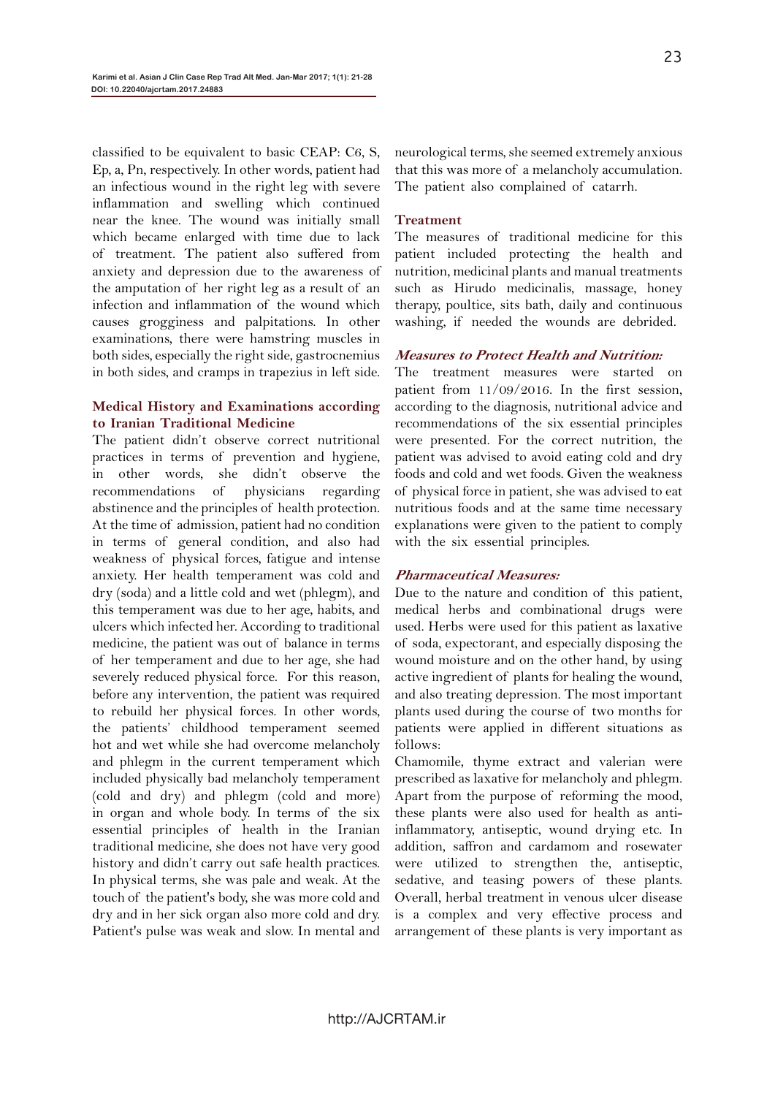classified to be equivalent to basic CEAP: C6, S, Ep, a, Pn, respectively. In other words, patient had an infectious wound in the right leg with severe inflammation and swelling which continued near the knee. The wound was initially small which became enlarged with time due to lack of treatment. The patient also suffered from anxiety and depression due to the awareness of the amputation of her right leg as a result of an infection and inflammation of the wound which causes grogginess and palpitations. In other examinations, there were hamstring muscles in both sides, especially the right side, gastrocnemius in both sides, and cramps in trapezius in left side.

# **Medical History and Examinations according to Iranian Traditional Medicine**

The patient didn't observe correct nutritional practices in terms of prevention and hygiene, in other words, she didn't observe the recommendations of physicians regarding abstinence and the principles of health protection. At the time of admission, patient had no condition in terms of general condition, and also had weakness of physical forces, fatigue and intense anxiety. Her health temperament was cold and dry (soda) and a little cold and wet (phlegm), and this temperament was due to her age, habits, and ulcers which infected her. According to traditional medicine, the patient was out of balance in terms of her temperament and due to her age, she had severely reduced physical force. For this reason, before any intervention, the patient was required to rebuild her physical forces. In other words, the patients' childhood temperament seemed hot and wet while she had overcome melancholy and phlegm in the current temperament which included physically bad melancholy temperament (cold and dry) and phlegm (cold and more) in organ and whole body. In terms of the six essential principles of health in the Iranian traditional medicine, she does not have very good history and didn't carry out safe health practices. In physical terms, she was pale and weak. At the touch of the patient's body, she was more cold and dry and in her sick organ also more cold and dry. Patient's pulse was weak and slow. In mental and neurological terms, she seemed extremely anxious that this was more of a melancholy accumulation. The patient also complained of catarrh.

## **Treatment**

The measures of traditional medicine for this patient included protecting the health and nutrition, medicinal plants and manual treatments such as Hirudo medicinalis, massage, honey therapy, poultice, sits bath, daily and continuous washing, if needed the wounds are debrided.

# **Measures to Protect Health and Nutrition:**

The treatment measures were started on patient from 11/09/2016. In the first session, according to the diagnosis, nutritional advice and recommendations of the six essential principles were presented. For the correct nutrition, the patient was advised to avoid eating cold and dry foods and cold and wet foods. Given the weakness of physical force in patient, she was advised to eat nutritious foods and at the same time necessary explanations were given to the patient to comply with the six essential principles.

## **Pharmaceutical Measures:**

Due to the nature and condition of this patient, medical herbs and combinational drugs were used. Herbs were used for this patient as laxative of soda, expectorant, and especially disposing the wound moisture and on the other hand, by using active ingredient of plants for healing the wound, and also treating depression. The most important plants used during the course of two months for patients were applied in different situations as follows:

Chamomile, thyme extract and valerian were prescribed as laxative for melancholy and phlegm. Apart from the purpose of reforming the mood, these plants were also used for health as antiinflammatory, antiseptic, wound drying etc. In addition, saffron and cardamom and rosewater were utilized to strengthen the, antiseptic, sedative, and teasing powers of these plants. Overall, herbal treatment in venous ulcer disease is a complex and very effective process and arrangement of these plants is very important as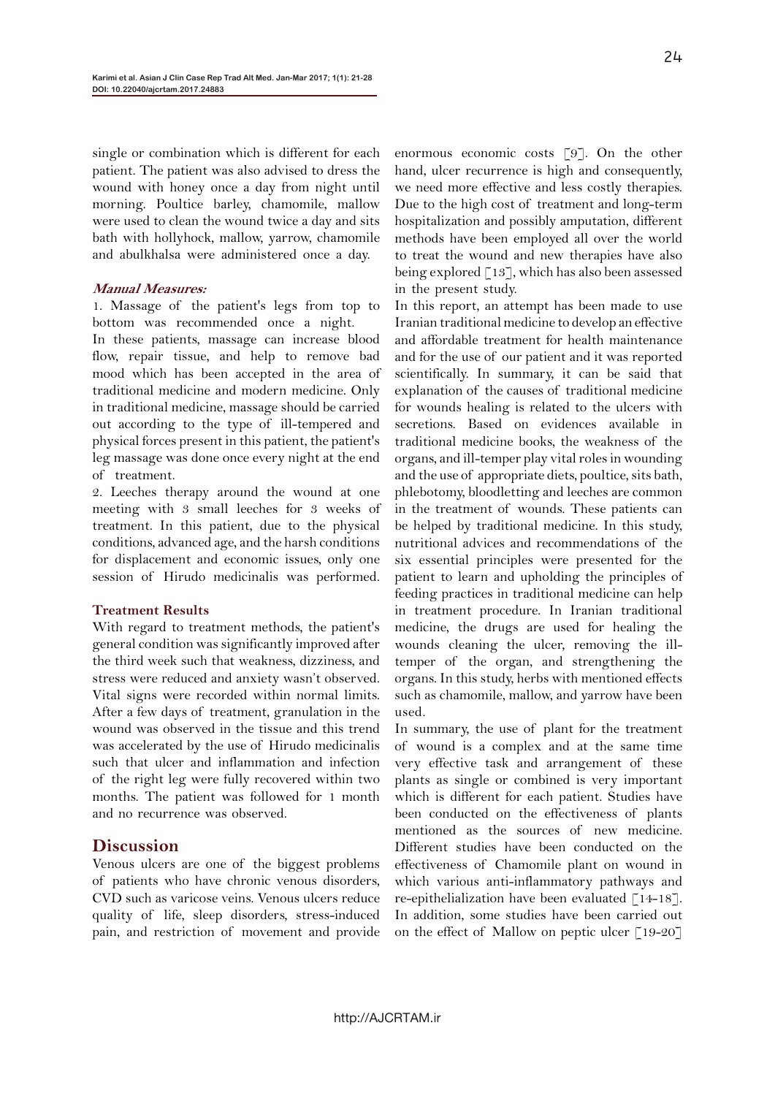single or combination which is different for each patient. The patient was also advised to dress the wound with honey once a day from night until morning. Poultice barley, chamomile, mallow were used to clean the wound twice a day and sits bath with hollyhock, mallow, yarrow, chamomile and abulkhalsa were administered once a day.

#### **Manual Measures:**

1. Massage of the patient's legs from top to bottom was recommended once a night.

In these patients, massage can increase blood flow, repair tissue, and help to remove bad mood which has been accepted in the area of traditional medicine and modern medicine. Only in traditional medicine, massage should be carried out according to the type of ill-tempered and physical forces present in this patient, the patient's leg massage was done once every night at the end of treatment.

2. Leeches therapy around the wound at one meeting with 3 small leeches for 3 weeks of treatment. In this patient, due to the physical conditions, advanced age, and the harsh conditions for displacement and economic issues, only one session of Hirudo medicinalis was performed.

#### **Treatment Results**

With regard to treatment methods, the patient's general condition was significantly improved after the third week such that weakness, dizziness, and stress were reduced and anxiety wasn't observed. Vital signs were recorded within normal limits. After a few days of treatment, granulation in the wound was observed in the tissue and this trend was accelerated by the use of Hirudo medicinalis such that ulcer and inflammation and infection of the right leg were fully recovered within two months. The patient was followed for 1 month and no recurrence was observed.

# **Discussion**

Venous ulcers are one of the biggest problems of patients who have chronic venous disorders, CVD such as varicose veins. Venous ulcers reduce quality of life, sleep disorders, stress-induced pain, and restriction of movement and provide

enormous economic costs [9]. On the other hand, ulcer recurrence is high and consequently, we need more effective and less costly therapies. Due to the high cost of treatment and long-term hospitalization and possibly amputation, different methods have been employed all over the world to treat the wound and new therapies have also being explored  $\lceil 13 \rceil$ , which has also been assessed in the present study.

In this report, an attempt has been made to use Iranian traditional medicine to develop an effective and affordable treatment for health maintenance and for the use of our patient and it was reported scientifically. In summary, it can be said that explanation of the causes of traditional medicine for wounds healing is related to the ulcers with secretions. Based on evidences available in traditional medicine books, the weakness of the organs, and ill-temper play vital roles in wounding and the use of appropriate diets, poultice, sits bath, phlebotomy, bloodletting and leeches are common in the treatment of wounds. These patients can be helped by traditional medicine. In this study, nutritional advices and recommendations of the six essential principles were presented for the patient to learn and upholding the principles of feeding practices in traditional medicine can help in treatment procedure. In Iranian traditional medicine, the drugs are used for healing the wounds cleaning the ulcer, removing the illtemper of the organ, and strengthening the organs. In this study, herbs with mentioned effects such as chamomile, mallow, and yarrow have been used.

In summary, the use of plant for the treatment of wound is a complex and at the same time very effective task and arrangement of these plants as single or combined is very important which is different for each patient. Studies have been conducted on the effectiveness of plants mentioned as the sources of new medicine. Different studies have been conducted on the effectiveness of Chamomile plant on wound in which various anti-inflammatory pathways and re-epithelialization have been evaluated  $\lceil 14-18 \rceil$ . In addition, some studies have been carried out on the effect of Mallow on peptic ulcer [19-20]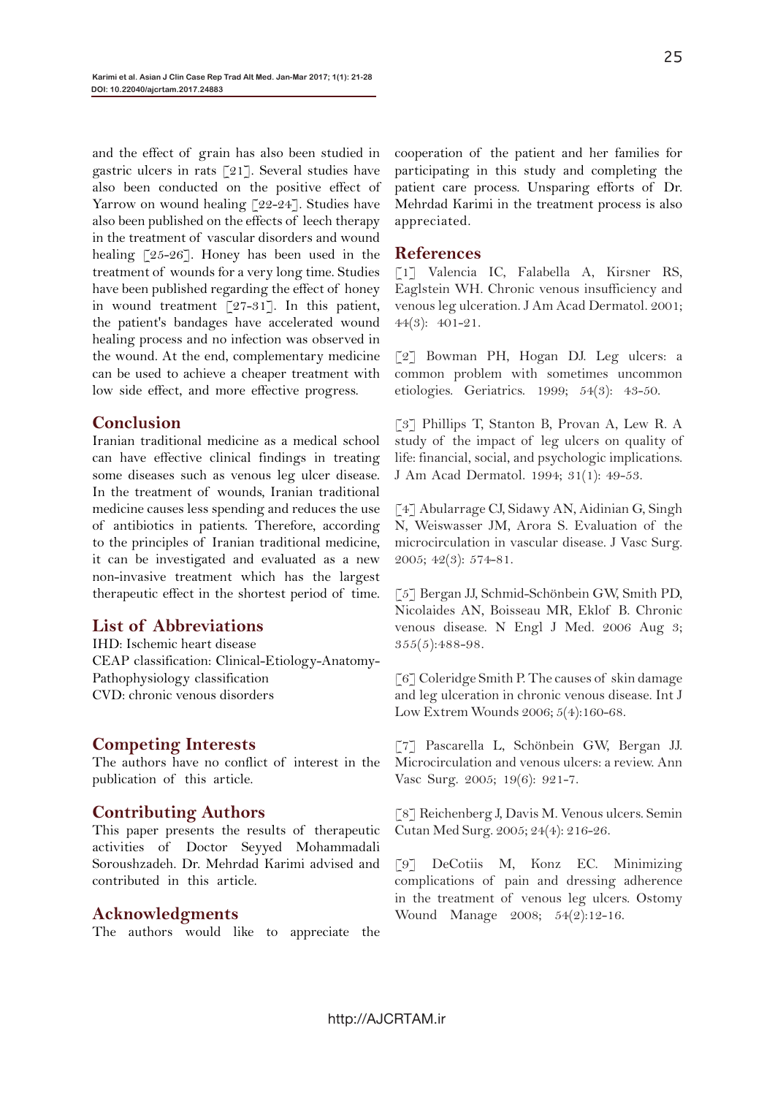and the effect of grain has also been studied in gastric ulcers in rats [21]. Several studies have also been conducted on the positive effect of Yarrow on wound healing [22-24]. Studies have also been published on the effects of leech therapy in the treatment of vascular disorders and wound healing [25-26]. Honey has been used in the treatment of wounds for a very long time. Studies have been published regarding the effect of honey in wound treatment [27-31]. In this patient, the patient's bandages have accelerated wound healing process and no infection was observed in the wound. At the end, complementary medicine can be used to achieve a cheaper treatment with low side effect, and more effective progress.

# **Conclusion**

Iranian traditional medicine as a medical school can have effective clinical findings in treating some diseases such as venous leg ulcer disease. In the treatment of wounds, Iranian traditional medicine causes less spending and reduces the use of antibiotics in patients. Therefore, according to the principles of Iranian traditional medicine, it can be investigated and evaluated as a new non-invasive treatment which has the largest therapeutic effect in the shortest period of time.

# **List of Abbreviations**

IHD: Ischemic heart disease CEAP classification: Clinical-Etiology-Anatomy-Pathophysiology classification CVD: chronic venous disorders

# **Competing Interests**

The authors have no conflict of interest in the publication of this article.

# **Contributing Authors**

This paper presents the results of therapeutic activities of Doctor Seyyed Mohammadali Soroushzadeh. Dr. Mehrdad Karimi advised and contributed in this article.

## **Acknowledgments**

The authors would like to appreciate the

cooperation of the patient and her families for participating in this study and completing the patient care process. Unsparing efforts of Dr. Mehrdad Karimi in the treatment process is also appreciated.

# **References**

[1] Valencia IC, Falabella A, Kirsner RS, Eaglstein WH. Chronic venous insufficiency and venous leg ulceration. J Am Acad Dermatol. 2001; 44(3): 401-21.

[2] Bowman PH, Hogan DJ. Leg ulcers: a common problem with sometimes uncommon etiologies. Geriatrics. 1999; 54(3): 43-50.

[3] Phillips T, Stanton B, Provan A, Lew R. A study of the impact of leg ulcers on quality of life: financial, social, and psychologic implications. J Am Acad Dermatol. 1994; 31(1): 49-53.

[4] Abularrage CJ, Sidawy AN, Aidinian G, Singh N, Weiswasser JM, Arora S. Evaluation of the microcirculation in vascular disease. J Vasc Surg. 2005; 42(3): 574-81.

[5] Bergan JJ, Schmid-Schönbein GW, Smith PD, Nicolaides AN, Boisseau MR, Eklof B. Chronic venous disease. N Engl J Med. 2006 Aug 3;  $355(5):488-98.$ 

[6] Coleridge Smith P. The causes of skin damage and leg ulceration in chronic venous disease. Int J Low Extrem Wounds 2006; 5(4):160-68.

[7] Pascarella L, Schönbein GW, Bergan JJ. Microcirculation and venous ulcers: a review. Ann Vasc Surg. 2005; 19(6): 921-7.

[8] Reichenberg J, Davis M. Venous ulcers. Semin Cutan Med Surg. 2005; 24(4): 216-26.

[9] DeCotiis M, Konz EC. Minimizing complications of pain and dressing adherence in the treatment of venous leg ulcers. Ostomy Wound Manage 2008; 54(2):12-16.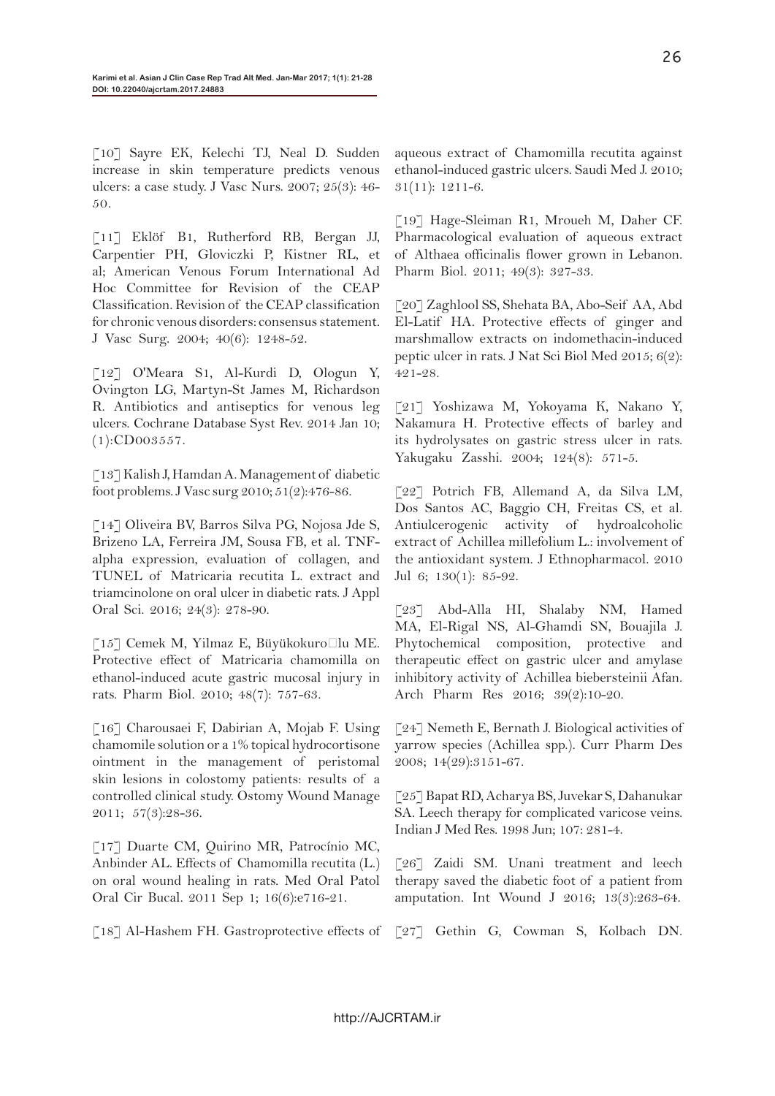[10] Sayre EK, Kelechi TJ, Neal D. Sudden increase in skin temperature predicts venous ulcers: a case study. J Vasc Nurs. 2007; 25(3): 46- 50.

[11] Eklöf B1, Rutherford RB, Bergan JJ, Carpentier PH, Gloviczki P, Kistner RL, et al; American Venous Forum International Ad Hoc Committee for Revision of the CEAP Classification. Revision of the CEAP classification for chronic venous disorders: consensus statement. J Vasc Surg. 2004; 40(6): 1248-52.

[12] O'Meara S1, Al-Kurdi D, Ologun Y, Ovington LG, Martyn-St James M, Richardson R. Antibiotics and antiseptics for venous leg ulcers. Cochrane Database Syst Rev. 2014 Jan 10; (1):CD003557.

[13] Kalish J, Hamdan A. Management of diabetic foot problems. J Vasc surg 2010; 51(2):476-86.

[14] Oliveira BV, Barros Silva PG, Nojosa Jde S, Brizeno LA, Ferreira JM, Sousa FB, et al. TNFalpha expression, evaluation of collagen, and TUNEL of Matricaria recutita L. extract and triamcinolone on oral ulcer in diabetic rats. J Appl Oral Sci. 2016; 24(3): 278-90.

[15] Cemek M, Yilmaz E, Büyükokuroğlu ME. Protective effect of Matricaria chamomilla on ethanol-induced acute gastric mucosal injury in rats. Pharm Biol. 2010; 48(7): 757-63.

[16] Charousaei F, Dabirian A, Mojab F. Using chamomile solution or a 1% topical hydrocortisone ointment in the management of peristomal skin lesions in colostomy patients: results of a controlled clinical study. Ostomy Wound Manage 2011; 57(3):28-36.

[17] Duarte CM, Quirino MR, Patrocínio MC, Anbinder AL. Effects of Chamomilla recutita (L.) on oral wound healing in rats. Med Oral Patol Oral Cir Bucal. 2011 Sep 1; 16(6):e716-21.

[18] Al-Hashem FH. Gastroprotective effects of

aqueous extract of Chamomilla recutita against ethanol-induced gastric ulcers. Saudi Med J. 2010; 31(11): 1211-6.

[19] Hage-Sleiman R1, Mroueh M, Daher CF. Pharmacological evaluation of aqueous extract of Althaea officinalis flower grown in Lebanon. Pharm Biol. 2011; 49(3): 327-33.

[20] Zaghlool SS, Shehata BA, Abo-Seif AA, Abd El-Latif HA. Protective effects of ginger and marshmallow extracts on indomethacin-induced peptic ulcer in rats. J Nat Sci Biol Med 2015; 6(2): 421-28.

[21] Yoshizawa M, Yokoyama K, Nakano Y, Nakamura H. Protective effects of barley and its hydrolysates on gastric stress ulcer in rats. Yakugaku Zasshi. 2004; 124(8): 571-5.

[22] Potrich FB, Allemand A, da Silva LM, Dos Santos AC, Baggio CH, Freitas CS, et al. Antiulcerogenic activity of hydroalcoholic extract of Achillea millefolium L.: involvement of the antioxidant system. J Ethnopharmacol. 2010 Jul 6; 130(1): 85-92.

[23] Abd-Alla HI, Shalaby NM, Hamed MA, El-Rigal NS, Al-Ghamdi SN, Bouajila J. Phytochemical composition, protective and therapeutic effect on gastric ulcer and amylase inhibitory activity of Achillea biebersteinii Afan. Arch Pharm Res 2016; 39(2):10-20.

[24] Nemeth E, Bernath J. Biological activities of yarrow species (Achillea spp.). Curr Pharm Des 2008; 14(29):3151-67.

[25] Bapat RD, Acharya BS, Juvekar S, Dahanukar SA. Leech therapy for complicated varicose veins. Indian J Med Res. 1998 Jun; 107: 281-4.

[26] Zaidi SM. Unani treatment and leech therapy saved the diabetic foot of a patient from amputation. Int Wound J 2016; 13(3):263-64.

[27] Gethin G, Cowman S, Kolbach DN.